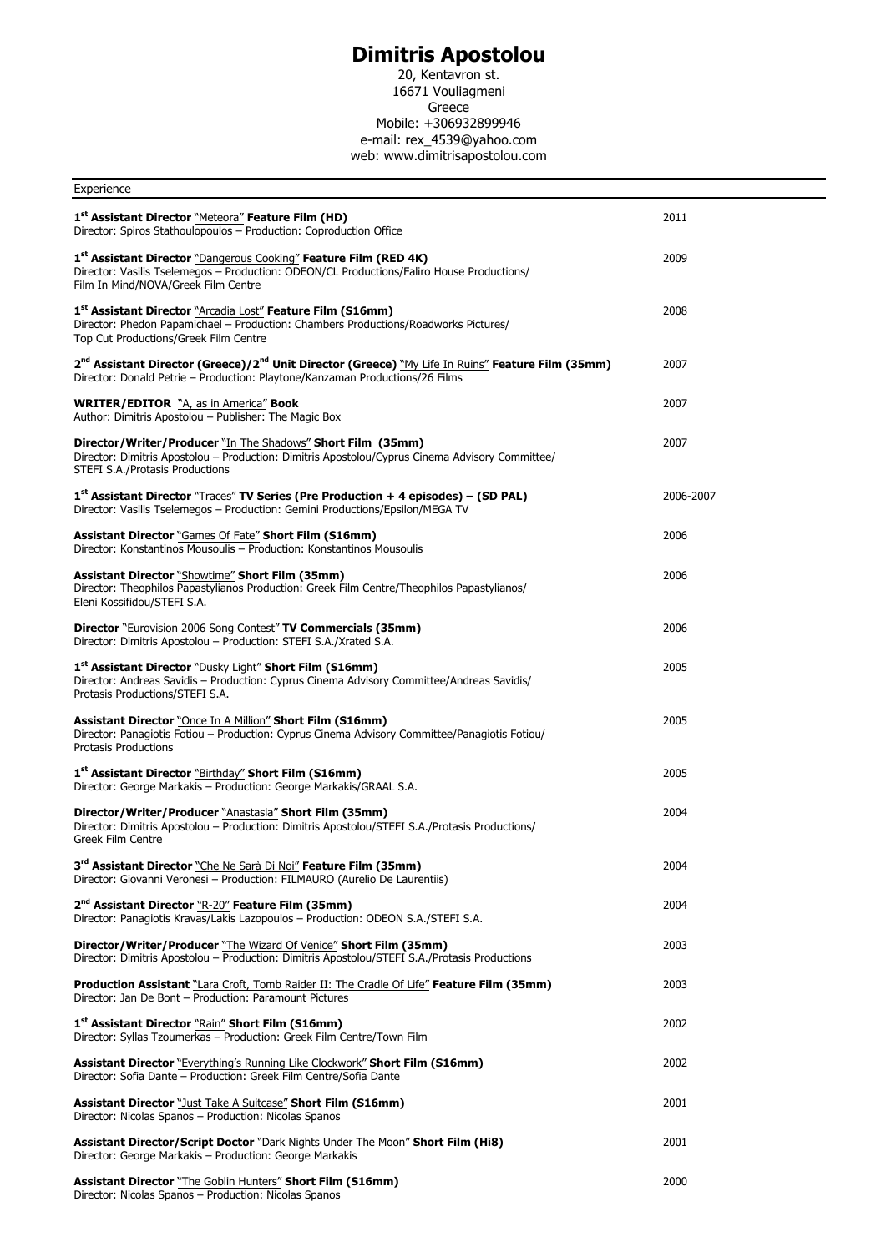## **Dimitris Apostolou**

20, Kentavron st. 16671 Vouliagmeni Greece Mobile: +306932899946 e-mail: rex\_4539@yahoo.com web: www.dimitrisapostolou.com

| Experience                                                                                                                                                                                                |           |
|-----------------------------------------------------------------------------------------------------------------------------------------------------------------------------------------------------------|-----------|
| 1 <sup>st</sup> Assistant Director "Meteora" Feature Film (HD)<br>Director: Spiros Stathoulopoulos - Production: Coproduction Office                                                                      | 2011      |
| 1st Assistant Director "Dangerous Cooking" Feature Film (RED 4K)<br>Director: Vasilis Tselemegos - Production: ODEON/CL Productions/Faliro House Productions/<br>Film In Mind/NOVA/Greek Film Centre      | 2009      |
| 1st Assistant Director "Arcadia Lost" Feature Film (S16mm)<br>Director: Phedon Papamichael - Production: Chambers Productions/Roadworks Pictures/<br>Top Cut Productions/Greek Film Centre                | 2008      |
| 2 <sup>nd</sup> Assistant Director (Greece)/2 <sup>nd</sup> Unit Director (Greece) "My Life In Ruins" Feature Film (35mm)<br>Director: Donald Petrie - Production: Playtone/Kanzaman Productions/26 Films | 2007      |
| <b>WRITER/EDITOR</b> "A, as in America" Book<br>Author: Dimitris Apostolou - Publisher: The Magic Box                                                                                                     | 2007      |
| Director/Writer/Producer "In The Shadows" Short Film (35mm)<br>Director: Dimitris Apostolou - Production: Dimitris Apostolou/Cyprus Cinema Advisory Committee/<br>STEFI S.A./Protasis Productions         | 2007      |
| $1st$ Assistant Director "Traces" TV Series (Pre Production + 4 episodes) – (SD PAL)<br>Director: Vasilis Tselemegos - Production: Gemini Productions/Epsilon/MEGA TV                                     | 2006-2007 |
| <b>Assistant Director "Games Of Fate" Short Film (S16mm)</b><br>Director: Konstantinos Mousoulis - Production: Konstantinos Mousoulis                                                                     | 2006      |
| <b>Assistant Director "Showtime" Short Film (35mm)</b><br>Director: Theophilos Papastylianos Production: Greek Film Centre/Theophilos Papastylianos/<br>Eleni Kossifidou/STEFI S.A.                       | 2006      |
| Director "Eurovision 2006 Song Contest" TV Commercials (35mm)<br>Director: Dimitris Apostolou - Production: STEFI S.A./Xrated S.A.                                                                        | 2006      |
| 1 <sup>st</sup> Assistant Director "Dusky Light" Short Film (S16mm)<br>Director: Andreas Savidis - Production: Cyprus Cinema Advisory Committee/Andreas Savidis/<br>Protasis Productions/STEFI S.A.       | 2005      |
| <b>Assistant Director "Once In A Million" Short Film (S16mm)</b><br>Director: Panagiotis Fotiou - Production: Cyprus Cinema Advisory Committee/Panagiotis Fotiou/<br><b>Protasis Productions</b>          | 2005      |
| 1 <sup>st</sup> Assistant Director "Birthday" Short Film (S16mm)<br>Director: George Markakis - Production: George Markakis/GRAAL S.A.                                                                    | 2005      |
| Director/Writer/Producer "Anastasia" Short Film (35mm)<br>Director: Dimitris Apostolou - Production: Dimitris Apostolou/STEFI S.A./Protasis Productions/<br>Greek Film Centre                             | 2004      |
| 3rd Assistant Director "Che Ne Sarà Di Noi" Feature Film (35mm)<br>Director: Giovanni Veronesi - Production: FILMAURO (Aurelio De Laurentiis)                                                             | 2004      |
| 2 <sup>nd</sup> Assistant Director "R-20" Feature Film (35mm)<br>Director: Panagiotis Kravas/Lakis Lazopoulos - Production: ODEON S.A./STEFI S.A.                                                         | 2004      |
| Director/Writer/Producer "The Wizard Of Venice" Short Film (35mm)<br>Director: Dimitris Apostolou - Production: Dimitris Apostolou/STEFI S.A./Protasis Productions                                        | 2003      |
| <b>Production Assistant</b> "Lara Croft, Tomb Raider II: The Cradle Of Life" Feature Film (35mm)<br>Director: Jan De Bont - Production: Paramount Pictures                                                | 2003      |
| 1 <sup>st</sup> Assistant Director "Rain" Short Film (S16mm)<br>Director: Syllas Tzoumerkas - Production: Greek Film Centre/Town Film                                                                     | 2002      |
| Assistant Director "Everything's Running Like Clockwork" Short Film (S16mm)<br>Director: Sofia Dante - Production: Greek Film Centre/Sofia Dante                                                          | 2002      |
| <b>Assistant Director</b> "Just Take A Suitcase" <b>Short Film (S16mm)</b><br>Director: Nicolas Spanos - Production: Nicolas Spanos                                                                       | 2001      |
| <b>Assistant Director/Script Doctor "Dark Nights Under The Moon" Short Film (Hi8)</b><br>Director: George Markakis - Production: George Markakis                                                          | 2001      |
| <b>Assistant Director</b> "The Goblin Hunters" <b>Short Film (S16mm)</b><br>Director: Nicolas Spanos - Production: Nicolas Spanos                                                                         | 2000      |